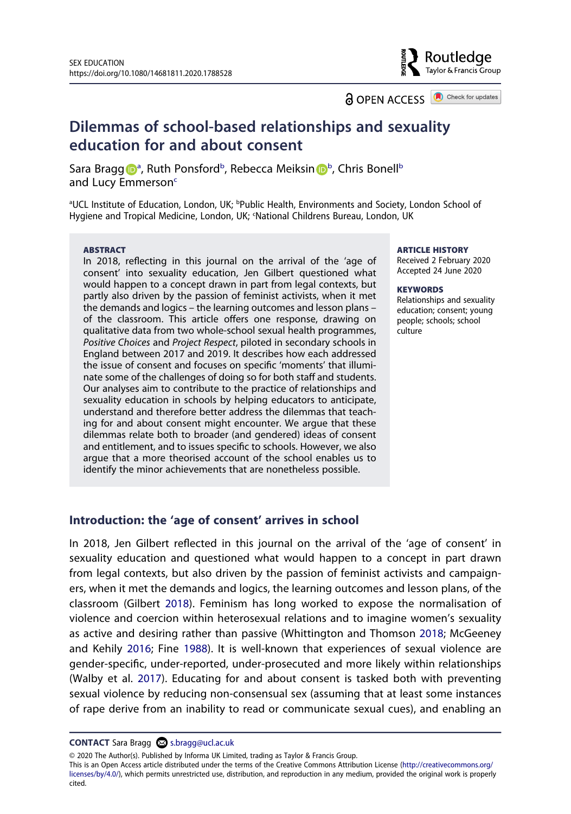**a** OPEN ACCESS **a** Check for updates

Routledae Taylor & Francis Group

# **Dilemmas of school-based relationships and sexuality education for and about consent**

S[a](#page-0-0)ra Bragg D<sup>a</sup>, Ruth Po[n](http://orcid.org/0000-0002-5096-8576)sford<sup>[b](#page-0-0)</sup>, Rebecca Meiksin D<sup>b</sup>, Chris Bonell<sup>b</sup> and Lucy Emmerson<sup>c</sup>

<span id="page-0-1"></span><span id="page-0-0"></span>aUCL Institute of Education, London, UK; <sup>b</sup>Public Health, Environments and Society, London School of Hygiene and Tropical Medicine, London, UK; <National Childrens Bureau, London, UK

#### **ABSTRACT**

In 2018, reflecting in this journal on the arrival of the 'age of consent' into sexuality education, Jen Gilbert questioned what would happen to a concept drawn in part from legal contexts, but partly also driven by the passion of feminist activists, when it met the demands and logics – the learning outcomes and lesson plans – of the classroom. This article offers one response, drawing on qualitative data from two whole-school sexual health programmes, *Positive Choices* and *Project Respect*, piloted in secondary schools in England between 2017 and 2019. It describes how each addressed the issue of consent and focuses on specific 'moments' that illuminate some of the challenges of doing so for both staff and students. Our analyses aim to contribute to the practice of relationships and sexuality education in schools by helping educators to anticipate, understand and therefore better address the dilemmas that teaching for and about consent might encounter. We argue that these dilemmas relate both to broader (and gendered) ideas of consent and entitlement, and to issues specific to schools. However, we also argue that a more theorised account of the school enables us to identify the minor achievements that are nonetheless possible.

#### **ARTICLE HISTORY**

Received 2 February 2020 Accepted 24 June 2020

#### **KEYWORDS**

Relationships and sexuality education; consent; young people; schools; school culture

#### **Introduction: the 'age of consent' arrives in school**

<span id="page-0-5"></span><span id="page-0-3"></span><span id="page-0-2"></span>In 2018, Jen Gilbert reflected in this journal on the arrival of the 'age of consent' in sexuality education and questioned what would happen to a concept in part drawn from legal contexts, but also driven by the passion of feminist activists and campaigners, when it met the demands and logics, the learning outcomes and lesson plans, of the classroom (Gilbert [2018](#page-13-0)). Feminism has long worked to expose the normalisation of violence and coercion within heterosexual relations and to imagine women's sexuality as active and desiring rather than passive (Whittington and Thomson [2018](#page-14-0); McGeeney and Kehily [2016;](#page-14-1) Fine [1988](#page-13-1)). It is well-known that experiences of sexual violence are gender-specific, under-reported, under-prosecuted and more likely within relationships (Walby et al. [2017\)](#page-14-2). Educating for and about consent is tasked both with preventing sexual violence by reducing non-consensual sex (assuming that at least some instances of rape derive from an inability to read or communicate sexual cues), and enabling an

© 2020 The Author(s). Published by Informa UK Limited, trading as Taylor & Francis Group.

This is an Open Access article distributed under the terms of the Creative Commons Attribution License (http://creativecommons.org/ licenses/by/4.0/), which permits unrestricted use, distribution, and reproduction in any medium, provided the original work is properly cited.

<span id="page-0-4"></span>**CONTACT** Sara Bragg **⊗** s.bragg@ucl.ac.uk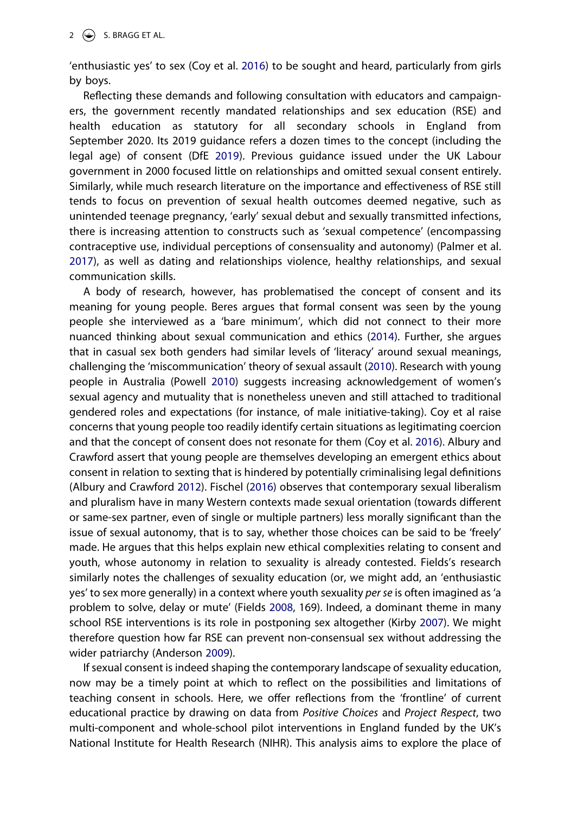'enthusiastic yes' to sex (Coy et al. [2016](#page-13-2)) to be sought and heard, particularly from girls by boys.

<span id="page-1-5"></span>Reflecting these demands and following consultation with educators and campaigners, the government recently mandated relationships and sex education (RSE) and health education as statutory for all secondary schools in England from September 2020. Its 2019 guidance refers a dozen times to the concept (including the legal age) of consent (DfE [2019\)](#page-13-3). Previous guidance issued under the UK Labour government in 2000 focused little on relationships and omitted sexual consent entirely. Similarly, while much research literature on the importance and effectiveness of RSE still tends to focus on prevention of sexual health outcomes deemed negative, such as unintended teenage pregnancy, 'early' sexual debut and sexually transmitted infections, there is increasing attention to constructs such as 'sexual competence' (encompassing contraceptive use, individual perceptions of consensuality and autonomy) (Palmer et al. [2017\)](#page-14-3), as well as dating and relationships violence, healthy relationships, and sexual communication skills.

<span id="page-1-9"></span><span id="page-1-8"></span><span id="page-1-4"></span><span id="page-1-3"></span><span id="page-1-2"></span>A body of research, however, has problematised the concept of consent and its meaning for young people. Beres argues that formal consent was seen by the young people she interviewed as a 'bare minimum', which did not connect to their more nuanced thinking about sexual communication and ethics [\(2014\)](#page-13-4). Further, she argues that in casual sex both genders had similar levels of 'literacy' around sexual meanings, challenging the 'miscommunication' theory of sexual assault ([2010](#page-13-5)). Research with young people in Australia (Powell [2010](#page-14-4)) suggests increasing acknowledgement of women's sexual agency and mutuality that is nonetheless uneven and still attached to traditional gendered roles and expectations (for instance, of male initiative-taking). Coy et al raise concerns that young people too readily identify certain situations as legitimating coercion and that the concept of consent does not resonate for them (Coy et al. [2016\)](#page-13-2). Albury and Crawford assert that young people are themselves developing an emergent ethics about consent in relation to sexting that is hindered by potentially criminalising legal definitions (Albury and Crawford [2012\)](#page-13-6). Fischel ([2016](#page-13-7)) observes that contemporary sexual liberalism and pluralism have in many Western contexts made sexual orientation (towards different or same-sex partner, even of single or multiple partners) less morally significant than the issue of sexual autonomy, that is to say, whether those choices can be said to be 'freely' made. He argues that this helps explain new ethical complexities relating to consent and youth, whose autonomy in relation to sexuality is already contested. Fields's research similarly notes the challenges of sexuality education (or, we might add, an 'enthusiastic yes' to sex more generally) in a context where youth sexuality *per se* is often imagined as 'a problem to solve, delay or mute' (Fields [2008](#page-13-8), 169). Indeed, a dominant theme in many school RSE interventions is its role in postponing sex altogether (Kirby [2007](#page-14-5)). We might therefore question how far RSE can prevent non-consensual sex without addressing the wider patriarchy (Anderson [2009](#page-13-9)).

<span id="page-1-7"></span><span id="page-1-6"></span><span id="page-1-1"></span><span id="page-1-0"></span>If sexual consent is indeed shaping the contemporary landscape of sexuality education, now may be a timely point at which to reflect on the possibilities and limitations of teaching consent in schools. Here, we offer reflections from the 'frontline' of current educational practice by drawing on data from *Positive Choices* and *Project Respect*, two multi-component and whole-school pilot interventions in England funded by the UK's National Institute for Health Research (NIHR). This analysis aims to explore the place of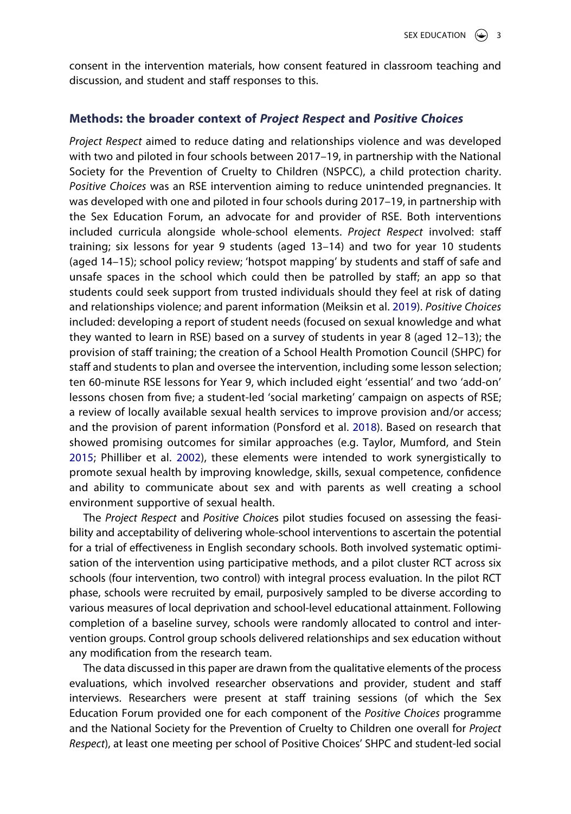consent in the intervention materials, how consent featured in classroom teaching and discussion, and student and staff responses to this.

### **Methods: the broader context of** *Project Respect* **and** *Positive Choices*

<span id="page-2-0"></span>*Project Respect* aimed to reduce dating and relationships violence and was developed with two and piloted in four schools between 2017–19, in partnership with the National Society for the Prevention of Cruelty to Children (NSPCC), a child protection charity. *Positive Choices* was an RSE intervention aiming to reduce unintended pregnancies. It was developed with one and piloted in four schools during 2017–19, in partnership with the Sex Education Forum, an advocate for and provider of RSE. Both interventions included curricula alongside whole-school elements. *Project Respect* involved: staff training; six lessons for year 9 students (aged 13–14) and two for year 10 students (aged 14–15); school policy review; 'hotspot mapping' by students and staff of safe and unsafe spaces in the school which could then be patrolled by staff; an app so that students could seek support from trusted individuals should they feel at risk of dating and relationships violence; and parent information (Meiksin et al. [2019](#page-14-6)). *Positive Choices*  included: developing a report of student needs (focused on sexual knowledge and what they wanted to learn in RSE) based on a survey of students in year 8 (aged 12–13); the provision of staff training; the creation of a School Health Promotion Council (SHPC) for staff and students to plan and oversee the intervention, including some lesson selection; ten 60-minute RSE lessons for Year 9, which included eight 'essential' and two 'add-on' lessons chosen from five; a student-led 'social marketing' campaign on aspects of RSE; a review of locally available sexual health services to improve provision and/or access; and the provision of parent information (Ponsford et al. [2018\)](#page-14-7). Based on research that showed promising outcomes for similar approaches (e.g. Taylor, Mumford, and Stein [2015;](#page-14-8) Philliber et al. [2002\)](#page-14-9), these elements were intended to work synergistically to promote sexual health by improving knowledge, skills, sexual competence, confidence and ability to communicate about sex and with parents as well creating a school environment supportive of sexual health.

<span id="page-2-3"></span><span id="page-2-2"></span><span id="page-2-1"></span>The *Project Respect* and *Positive Choice*s pilot studies focused on assessing the feasibility and acceptability of delivering whole-school interventions to ascertain the potential for a trial of effectiveness in English secondary schools. Both involved systematic optimisation of the intervention using participative methods, and a pilot cluster RCT across six schools (four intervention, two control) with integral process evaluation. In the pilot RCT phase, schools were recruited by email, purposively sampled to be diverse according to various measures of local deprivation and school-level educational attainment. Following completion of a baseline survey, schools were randomly allocated to control and intervention groups. Control group schools delivered relationships and sex education without any modification from the research team.

The data discussed in this paper are drawn from the qualitative elements of the process evaluations, which involved researcher observations and provider, student and staff interviews. Researchers were present at staff training sessions (of which the Sex Education Forum provided one for each component of the *Positive Choices* programme and the National Society for the Prevention of Cruelty to Children one overall for *Project Respect*), at least one meeting per school of Positive Choices' SHPC and student-led social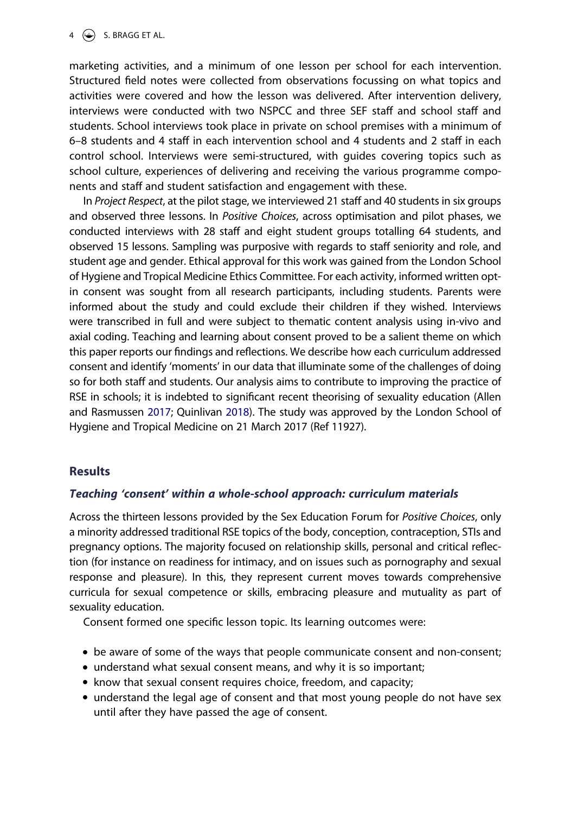marketing activities, and a minimum of one lesson per school for each intervention. Structured field notes were collected from observations focussing on what topics and activities were covered and how the lesson was delivered. After intervention delivery, interviews were conducted with two NSPCC and three SEF staff and school staff and students. School interviews took place in private on school premises with a minimum of 6–8 students and 4 staff in each intervention school and 4 students and 2 staff in each control school. Interviews were semi-structured, with guides covering topics such as school culture, experiences of delivering and receiving the various programme components and staff and student satisfaction and engagement with these.

In *Project Respect*, at the pilot stage, we interviewed 21 staff and 40 students in six groups and observed three lessons. In *Positive Choices*, across optimisation and pilot phases, we conducted interviews with 28 staff and eight student groups totalling 64 students, and observed 15 lessons. Sampling was purposive with regards to staff seniority and role, and student age and gender. Ethical approval for this work was gained from the London School of Hygiene and Tropical Medicine Ethics Committee. For each activity, informed written optin consent was sought from all research participants, including students. Parents were informed about the study and could exclude their children if they wished. Interviews were transcribed in full and were subject to thematic content analysis using in-vivo and axial coding. Teaching and learning about consent proved to be a salient theme on which this paper reports our findings and reflections. We describe how each curriculum addressed consent and identify 'moments' in our data that illuminate some of the challenges of doing so for both staff and students. Our analysis aims to contribute to improving the practice of RSE in schools; it is indebted to significant recent theorising of sexuality education (Allen and Rasmussen [2017;](#page-13-10) Quinlivan [2018](#page-14-10)). The study was approved by the London School of Hygiene and Tropical Medicine on 21 March 2017 (Ref 11927).

# <span id="page-3-0"></span>**Results**

# *Teaching 'consent' within a whole-school approach: curriculum materials*

Across the thirteen lessons provided by the Sex Education Forum for *Positive Choices*, only a minority addressed traditional RSE topics of the body, conception, contraception, STIs and pregnancy options. The majority focused on relationship skills, personal and critical reflection (for instance on readiness for intimacy, and on issues such as pornography and sexual response and pleasure). In this, they represent current moves towards comprehensive curricula for sexual competence or skills, embracing pleasure and mutuality as part of sexuality education.

Consent formed one specific lesson topic. Its learning outcomes were:

- be aware of some of the ways that people communicate consent and non-consent;
- understand what sexual consent means, and why it is so important;
- know that sexual consent requires choice, freedom, and capacity;
- understand the legal age of consent and that most young people do not have sex until after they have passed the age of consent.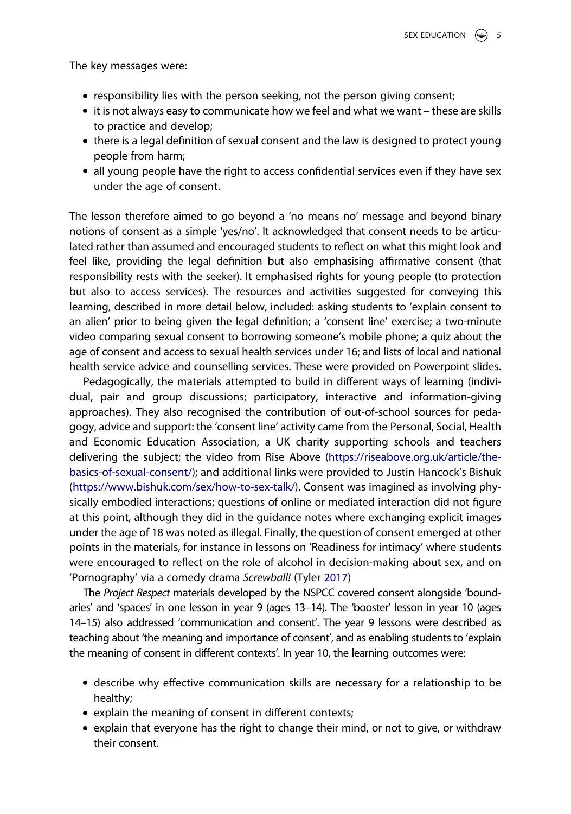The key messages were:

- responsibility lies with the person seeking, not the person giving consent;
- it is not always easy to communicate how we feel and what we want these are skills to practice and develop;
- there is a legal definition of sexual consent and the law is designed to protect young people from harm;
- all young people have the right to access confidential services even if they have sex under the age of consent.

The lesson therefore aimed to go beyond a 'no means no' message and beyond binary notions of consent as a simple 'yes/no'. It acknowledged that consent needs to be articulated rather than assumed and encouraged students to reflect on what this might look and feel like, providing the legal definition but also emphasising affirmative consent (that responsibility rests with the seeker). It emphasised rights for young people (to protection but also to access services). The resources and activities suggested for conveying this learning, described in more detail below, included: asking students to 'explain consent to an alien' prior to being given the legal definition; a 'consent line' exercise; a two-minute video comparing sexual consent to borrowing someone's mobile phone; a quiz about the age of consent and access to sexual health services under 16; and lists of local and national health service advice and counselling services. These were provided on Powerpoint slides.

Pedagogically, the materials attempted to build in different ways of learning (individual, pair and group discussions; participatory, interactive and information-giving approaches). They also recognised the contribution of out-of-school sources for pedagogy, advice and support: the 'consent line' activity came from the Personal, Social, Health and Economic Education Association, a UK charity supporting schools and teachers delivering the subject; the video from Rise Above ([https://riseabove.org.uk/article/the](https://riseabove.org.uk/article/the-basics-of-sexual-consent/)[basics-of-sexual-consent/\)](https://riseabove.org.uk/article/the-basics-of-sexual-consent/); and additional links were provided to Justin Hancock's Bishuk ([https://www.bishuk.com/sex/how-to-sex-talk/\)](https://www.bishuk.com/sex/how-to-sex-talk/). Consent was imagined as involving physically embodied interactions; questions of online or mediated interaction did not figure at this point, although they did in the guidance notes where exchanging explicit images under the age of 18 was noted as illegal. Finally, the question of consent emerged at other points in the materials, for instance in lessons on 'Readiness for intimacy' where students were encouraged to reflect on the role of alcohol in decision-making about sex, and on 'Pornography' via a comedy drama *Screwball!* (Tyler [2017\)](#page-14-11)

<span id="page-4-0"></span>The *Project Respect* materials developed by the NSPCC covered consent alongside 'boundaries' and 'spaces' in one lesson in year 9 (ages 13–14). The 'booster' lesson in year 10 (ages 14–15) also addressed 'communication and consent'. The year 9 lessons were described as teaching about 'the meaning and importance of consent', and as enabling students to 'explain the meaning of consent in different contexts'. In year 10, the learning outcomes were:

- describe why effective communication skills are necessary for a relationship to be healthy;
- explain the meaning of consent in different contexts;
- explain that everyone has the right to change their mind, or not to give, or withdraw their consent.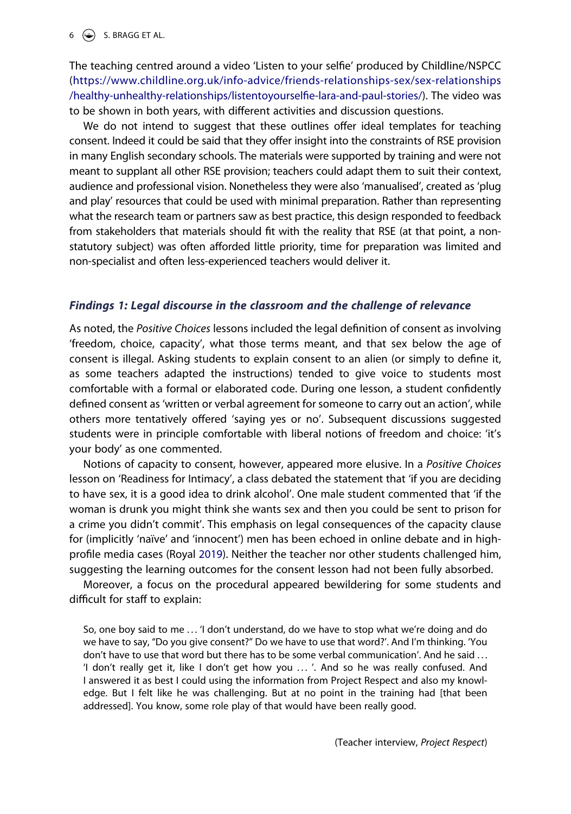$6 \quad \circled{4}$  S. BRAGG ET AL.

The teaching centred around a video 'Listen to your selfie' produced by Childline/NSPCC ([https://www.childline.org.uk/info-advice/friends-relationships-sex/sex-relationships](https://www.childline.org.uk/info-advice/friends-relationships-sex/sex-relationships/healthy-unhealthy-relationships/listentoyourselfie-lara-and-paul-stories/) [/healthy-unhealthy-relationships/listentoyourselfie-lara-and-paul-stories/\)](https://www.childline.org.uk/info-advice/friends-relationships-sex/sex-relationships/healthy-unhealthy-relationships/listentoyourselfie-lara-and-paul-stories/). The video was to be shown in both years, with different activities and discussion questions.

We do not intend to suggest that these outlines offer ideal templates for teaching consent. Indeed it could be said that they offer insight into the constraints of RSE provision in many English secondary schools. The materials were supported by training and were not meant to supplant all other RSE provision; teachers could adapt them to suit their context, audience and professional vision. Nonetheless they were also 'manualised', created as 'plug and play' resources that could be used with minimal preparation. Rather than representing what the research team or partners saw as best practice, this design responded to feedback from stakeholders that materials should fit with the reality that RSE (at that point, a nonstatutory subject) was often afforded little priority, time for preparation was limited and non-specialist and often less-experienced teachers would deliver it.

#### *Findings 1: Legal discourse in the classroom and the challenge of relevance*

As noted, the *Positive Choices* lessons included the legal definition of consent as involving 'freedom, choice, capacity', what those terms meant, and that sex below the age of consent is illegal. Asking students to explain consent to an alien (or simply to define it, as some teachers adapted the instructions) tended to give voice to students most comfortable with a formal or elaborated code. During one lesson, a student confidently defined consent as 'written or verbal agreement for someone to carry out an action', while others more tentatively offered 'saying yes or no'. Subsequent discussions suggested students were in principle comfortable with liberal notions of freedom and choice: 'it's your body' as one commented.

Notions of capacity to consent, however, appeared more elusive. In a *Positive Choices*  lesson on 'Readiness for Intimacy', a class debated the statement that 'if you are deciding to have sex, it is a good idea to drink alcohol'. One male student commented that 'if the woman is drunk you might think she wants sex and then you could be sent to prison for a crime you didn't commit'. This emphasis on legal consequences of the capacity clause for (implicitly 'naïve' and 'innocent') men has been echoed in online debate and in highprofile media cases (Royal [2019](#page-14-12)). Neither the teacher nor other students challenged him, suggesting the learning outcomes for the consent lesson had not been fully absorbed.

<span id="page-5-0"></span>Moreover, a focus on the procedural appeared bewildering for some students and difficult for staff to explain:

So, one boy said to me ... 'I don't understand, do we have to stop what we're doing and do we have to say, "Do you give consent?" Do we have to use that word?'. And I'm thinking. 'You don't have to use that word but there has to be some verbal communication'. And he said ... 'I don't really get it, like I don't get how you . . . '. And so he was really confused. And I answered it as best I could using the information from Project Respect and also my knowledge. But I felt like he was challenging. But at no point in the training had [that been addressed]. You know, some role play of that would have been really good.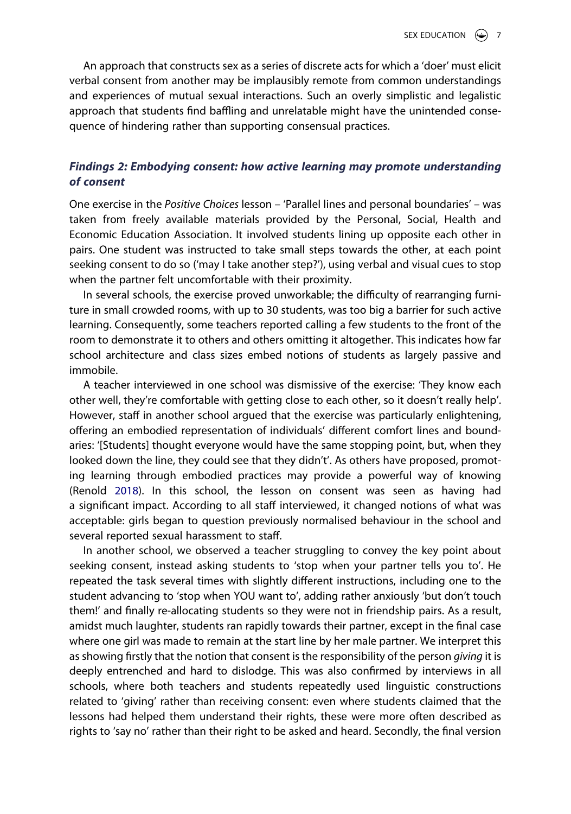An approach that constructs sex as a series of discrete acts for which a 'doer' must elicit verbal consent from another may be implausibly remote from common understandings and experiences of mutual sexual interactions. Such an overly simplistic and legalistic approach that students find baffling and unrelatable might have the unintended consequence of hindering rather than supporting consensual practices.

# *Findings 2: Embodying consent: how active learning may promote understanding of consent*

One exercise in the *Positive Choices* lesson – 'Parallel lines and personal boundaries' – was taken from freely available materials provided by the Personal, Social, Health and Economic Education Association. It involved students lining up opposite each other in pairs. One student was instructed to take small steps towards the other, at each point seeking consent to do so ('may I take another step?'), using verbal and visual cues to stop when the partner felt uncomfortable with their proximity.

In several schools, the exercise proved unworkable; the difficulty of rearranging furniture in small crowded rooms, with up to 30 students, was too big a barrier for such active learning. Consequently, some teachers reported calling a few students to the front of the room to demonstrate it to others and others omitting it altogether. This indicates how far school architecture and class sizes embed notions of students as largely passive and immobile.

A teacher interviewed in one school was dismissive of the exercise: 'They know each other well, they're comfortable with getting close to each other, so it doesn't really help'. However, staff in another school argued that the exercise was particularly enlightening, offering an embodied representation of individuals' different comfort lines and boundaries: '[Students] thought everyone would have the same stopping point, but, when they looked down the line, they could see that they didn't'. As others have proposed, promoting learning through embodied practices may provide a powerful way of knowing (Renold [2018\)](#page-14-13). In this school, the lesson on consent was seen as having had a significant impact. According to all staff interviewed, it changed notions of what was acceptable: girls began to question previously normalised behaviour in the school and several reported sexual harassment to staff.

<span id="page-6-0"></span>In another school, we observed a teacher struggling to convey the key point about seeking consent, instead asking students to 'stop when your partner tells you to'. He repeated the task several times with slightly different instructions, including one to the student advancing to 'stop when YOU want to', adding rather anxiously 'but don't touch them!' and finally re-allocating students so they were not in friendship pairs. As a result, amidst much laughter, students ran rapidly towards their partner, except in the final case where one girl was made to remain at the start line by her male partner. We interpret this as showing firstly that the notion that consent is the responsibility of the person *giving* it is deeply entrenched and hard to dislodge. This was also confirmed by interviews in all schools, where both teachers and students repeatedly used linguistic constructions related to 'giving' rather than receiving consent: even where students claimed that the lessons had helped them understand their rights, these were more often described as rights to 'say no' rather than their right to be asked and heard. Secondly, the final version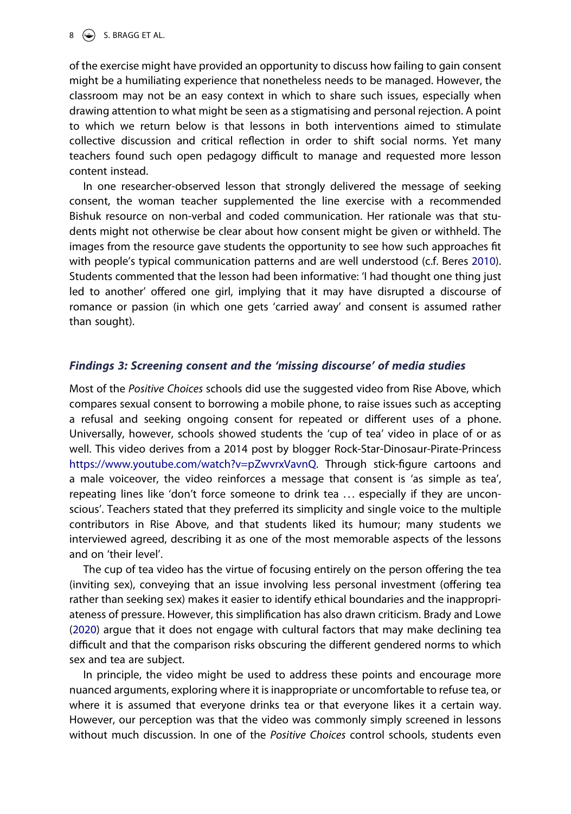of the exercise might have provided an opportunity to discuss how failing to gain consent might be a humiliating experience that nonetheless needs to be managed. However, the classroom may not be an easy context in which to share such issues, especially when drawing attention to what might be seen as a stigmatising and personal rejection. A point to which we return below is that lessons in both interventions aimed to stimulate collective discussion and critical reflection in order to shift social norms. Yet many teachers found such open pedagogy difficult to manage and requested more lesson content instead.

In one researcher-observed lesson that strongly delivered the message of seeking consent, the woman teacher supplemented the line exercise with a recommended Bishuk resource on non-verbal and coded communication. Her rationale was that students might not otherwise be clear about how consent might be given or withheld. The images from the resource gave students the opportunity to see how such approaches fit with people's typical communication patterns and are well understood (c.f. Beres [2010](#page-13-5)). Students commented that the lesson had been informative: 'I had thought one thing just led to another' offered one girl, implying that it may have disrupted a discourse of romance or passion (in which one gets 'carried away' and consent is assumed rather than sought).

#### *Findings 3: Screening consent and the 'missing discourse' of media studies*

Most of the *Positive Choices* schools did use the suggested video from Rise Above, which compares sexual consent to borrowing a mobile phone, to raise issues such as accepting a refusal and seeking ongoing consent for repeated or different uses of a phone. Universally, however, schools showed students the 'cup of tea' video in place of or as well. This video derives from a 2014 post by blogger Rock-Star-Dinosaur-Pirate-Princess <https://www.youtube.com/watch?v=pZwvrxVavnQ>. Through stick-figure cartoons and a male voiceover, the video reinforces a message that consent is 'as simple as tea', repeating lines like 'don't force someone to drink tea ... especially if they are unconscious'. Teachers stated that they preferred its simplicity and single voice to the multiple contributors in Rise Above, and that students liked its humour; many students we interviewed agreed, describing it as one of the most memorable aspects of the lessons and on 'their level'.

The cup of tea video has the virtue of focusing entirely on the person offering the tea (inviting sex), conveying that an issue involving less personal investment (offering tea rather than seeking sex) makes it easier to identify ethical boundaries and the inappropriateness of pressure. However, this simplification has also drawn criticism. Brady and Lowe ([2020](#page-13-11)) argue that it does not engage with cultural factors that may make declining tea difficult and that the comparison risks obscuring the different gendered norms to which sex and tea are subject.

<span id="page-7-0"></span>In principle, the video might be used to address these points and encourage more nuanced arguments, exploring where it is inappropriate or uncomfortable to refuse tea, or where it is assumed that everyone drinks tea or that everyone likes it a certain way. However, our perception was that the video was commonly simply screened in lessons without much discussion. In one of the *Positive Choices* control schools, students even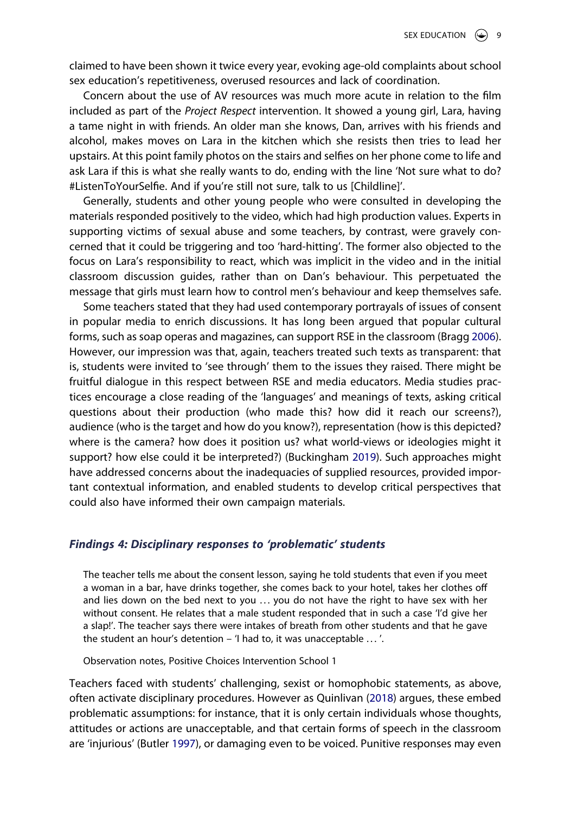claimed to have been shown it twice every year, evoking age-old complaints about school sex education's repetitiveness, overused resources and lack of coordination.

Concern about the use of AV resources was much more acute in relation to the film included as part of the *Project Respect* intervention. It showed a young girl, Lara, having a tame night in with friends. An older man she knows, Dan, arrives with his friends and alcohol, makes moves on Lara in the kitchen which she resists then tries to lead her upstairs. At this point family photos on the stairs and selfies on her phone come to life and ask Lara if this is what she really wants to do, ending with the line 'Not sure what to do? #ListenToYourSelfie. And if you're still not sure, talk to us [Childline]'.

Generally, students and other young people who were consulted in developing the materials responded positively to the video, which had high production values. Experts in supporting victims of sexual abuse and some teachers, by contrast, were gravely concerned that it could be triggering and too 'hard-hitting'. The former also objected to the focus on Lara's responsibility to react, which was implicit in the video and in the initial classroom discussion guides, rather than on Dan's behaviour. This perpetuated the message that girls must learn how to control men's behaviour and keep themselves safe.

<span id="page-8-0"></span>Some teachers stated that they had used contemporary portrayals of issues of consent in popular media to enrich discussions. It has long been argued that popular cultural forms, such as soap operas and magazines, can support RSE in the classroom (Bragg [2006](#page-13-12)). However, our impression was that, again, teachers treated such texts as transparent: that is, students were invited to 'see through' them to the issues they raised. There might be fruitful dialogue in this respect between RSE and media educators. Media studies practices encourage a close reading of the 'languages' and meanings of texts, asking critical questions about their production (who made this? how did it reach our screens?), audience (who is the target and how do you know?), representation (how is this depicted? where is the camera? how does it position us? what world-views or ideologies might it support? how else could it be interpreted?) (Buckingham [2019](#page-13-13)). Such approaches might have addressed concerns about the inadequacies of supplied resources, provided important contextual information, and enabled students to develop critical perspectives that could also have informed their own campaign materials.

#### <span id="page-8-1"></span>*Findings 4: Disciplinary responses to 'problematic' students*

The teacher tells me about the consent lesson, saying he told students that even if you meet a woman in a bar, have drinks together, she comes back to your hotel, takes her clothes off and lies down on the bed next to you ... you do not have the right to have sex with her without consent. He relates that a male student responded that in such a case 'I'd give her a slap!'. The teacher says there were intakes of breath from other students and that he gave the student an hour's detention – 'I had to, it was unacceptable . . . '.

Observation notes, Positive Choices Intervention School 1

<span id="page-8-2"></span>Teachers faced with students' challenging, sexist or homophobic statements, as above, often activate disciplinary procedures. However as Quinlivan [\(2018\)](#page-14-10) argues, these embed problematic assumptions: for instance, that it is only certain individuals whose thoughts, attitudes or actions are unacceptable, and that certain forms of speech in the classroom are 'injurious' (Butler [1997\)](#page-13-14), or damaging even to be voiced. Punitive responses may even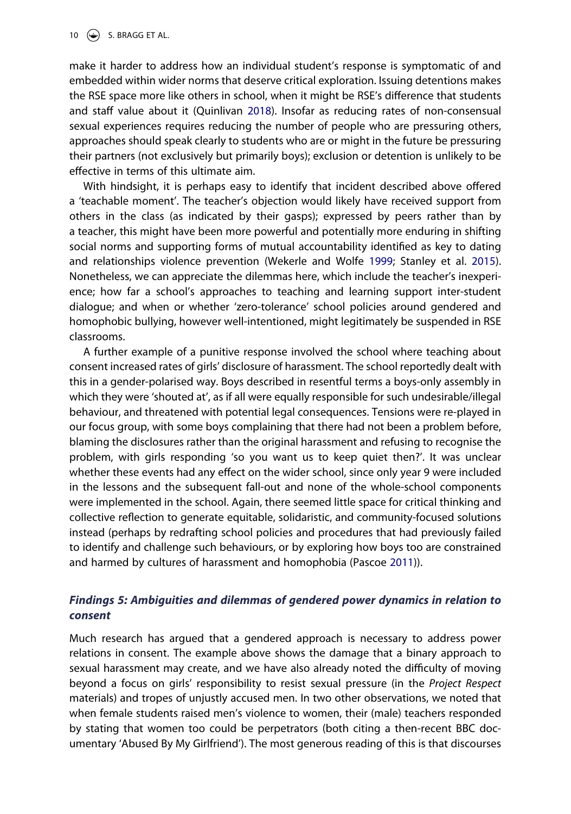10  $\left(\frac{1}{2}\right)$  S. BRAGG ET AL.

make it harder to address how an individual student's response is symptomatic of and embedded within wider norms that deserve critical exploration. Issuing detentions makes the RSE space more like others in school, when it might be RSE's difference that students and staff value about it (Quinlivan [2018](#page-14-10)). Insofar as reducing rates of non-consensual sexual experiences requires reducing the number of people who are pressuring others, approaches should speak clearly to students who are or might in the future be pressuring their partners (not exclusively but primarily boys); exclusion or detention is unlikely to be effective in terms of this ultimate aim.

<span id="page-9-1"></span>With hindsight, it is perhaps easy to identify that incident described above offered a 'teachable moment'. The teacher's objection would likely have received support from others in the class (as indicated by their gasps); expressed by peers rather than by a teacher, this might have been more powerful and potentially more enduring in shifting social norms and supporting forms of mutual accountability identified as key to dating and relationships violence prevention (Wekerle and Wolfe [1999](#page-14-14); Stanley et al. [2015](#page-14-15)). Nonetheless, we can appreciate the dilemmas here, which include the teacher's inexperience; how far a school's approaches to teaching and learning support inter-student dialogue; and when or whether 'zero-tolerance' school policies around gendered and homophobic bullying, however well-intentioned, might legitimately be suspended in RSE classrooms.

A further example of a punitive response involved the school where teaching about consent increased rates of girls' disclosure of harassment. The school reportedly dealt with this in a gender-polarised way. Boys described in resentful terms a boys-only assembly in which they were 'shouted at', as if all were equally responsible for such undesirable/illegal behaviour, and threatened with potential legal consequences. Tensions were re-played in our focus group, with some boys complaining that there had not been a problem before, blaming the disclosures rather than the original harassment and refusing to recognise the problem, with girls responding 'so you want us to keep quiet then?'. It was unclear whether these events had any effect on the wider school, since only year 9 were included in the lessons and the subsequent fall-out and none of the whole-school components were implemented in the school. Again, there seemed little space for critical thinking and collective reflection to generate equitable, solidaristic, and community-focused solutions instead (perhaps by redrafting school policies and procedures that had previously failed to identify and challenge such behaviours, or by exploring how boys too are constrained and harmed by cultures of harassment and homophobia (Pascoe [2011\)](#page-14-16)).

# <span id="page-9-0"></span>*Findings 5: Ambiguities and dilemmas of gendered power dynamics in relation to consent*

Much research has argued that a gendered approach is necessary to address power relations in consent. The example above shows the damage that a binary approach to sexual harassment may create, and we have also already noted the difficulty of moving beyond a focus on girls' responsibility to resist sexual pressure (in the *Project Respect*  materials) and tropes of unjustly accused men. In two other observations, we noted that when female students raised men's violence to women, their (male) teachers responded by stating that women too could be perpetrators (both citing a then-recent BBC documentary 'Abused By My Girlfriend'). The most generous reading of this is that discourses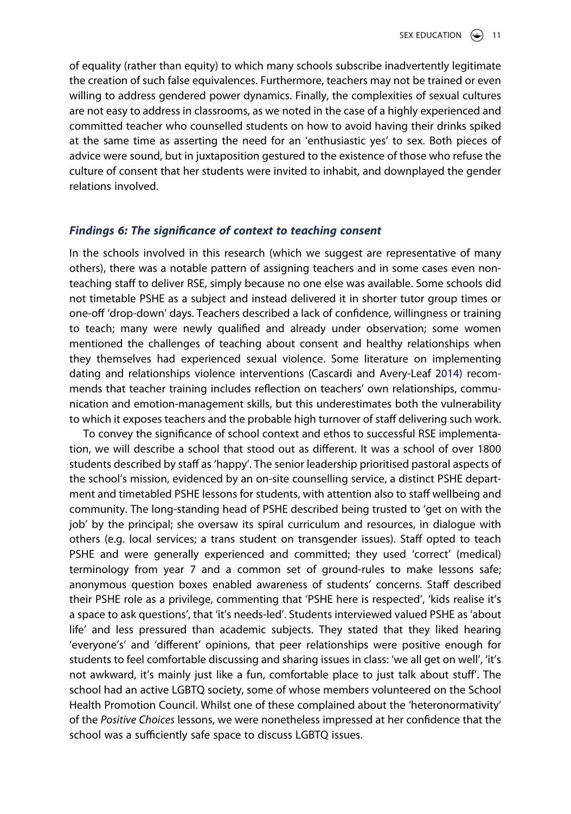of equality (rather than equity) to which many schools subscribe inadvertently legitimate the creation of such false equivalences. Furthermore, teachers may not be trained or even willing to address gendered power dynamics. Finally, the complexities of sexual cultures are not easy to address in classrooms, as we noted in the case of a highly experienced and committed teacher who counselled students on how to avoid having their drinks spiked at the same time as asserting the need for an 'enthusiastic yes' to sex. Both pieces of advice were sound, but in juxtaposition gestured to the existence of those who refuse the culture of consent that her students were invited to inhabit, and downplayed the gender relations involved.

#### *Findings 6: The significance of context to teaching consent*

In the schools involved in this research (which we suggest are representative of many others), there was a notable pattern of assigning teachers and in some cases even nonteaching staff to deliver RSE, simply because no one else was available. Some schools did not timetable PSHE as a subject and instead delivered it in shorter tutor group times or one-off 'drop-down' days. Teachers described a lack of confidence, willingness or training to teach; many were newly qualified and already under observation; some women mentioned the challenges of teaching about consent and healthy relationships when they themselves had experienced sexual violence. Some literature on implementing dating and relationships violence interventions (Cascardi and Avery-Leaf [2014\)](#page-13-15) recommends that teacher training includes reflection on teachers' own relationships, communication and emotion-management skills, but this underestimates both the vulnerability to which it exposes teachers and the probable high turnover of staff delivering such work.

<span id="page-10-0"></span>To convey the significance of school context and ethos to successful RSE implementation, we will describe a school that stood out as different. It was a school of over 1800 students described by staff as 'happy'. The senior leadership prioritised pastoral aspects of the school's mission, evidenced by an on-site counselling service, a distinct PSHE department and timetabled PSHE lessons for students, with attention also to staff wellbeing and community. The long-standing head of PSHE described being trusted to 'get on with the job' by the principal; she oversaw its spiral curriculum and resources, in dialogue with others (e.g. local services; a trans student on transgender issues). Staff opted to teach PSHE and were generally experienced and committed; they used 'correct' (medical) terminology from year 7 and a common set of ground-rules to make lessons safe; anonymous question boxes enabled awareness of students' concerns. Staff described their PSHE role as a privilege, commenting that 'PSHE here is respected', 'kids realise it's a space to ask questions', that 'it's needs-led'. Students interviewed valued PSHE as 'about life' and less pressured than academic subjects. They stated that they liked hearing 'everyone's' and 'different' opinions, that peer relationships were positive enough for students to feel comfortable discussing and sharing issues in class: 'we all get on well', 'it's not awkward, it's mainly just like a fun, comfortable place to just talk about stuff'. The school had an active LGBTQ society, some of whose members volunteered on the School Health Promotion Council. Whilst one of these complained about the 'heteronormativity' of the *Positive Choices* lessons, we were nonetheless impressed at her confidence that the school was a sufficiently safe space to discuss LGBTQ issues.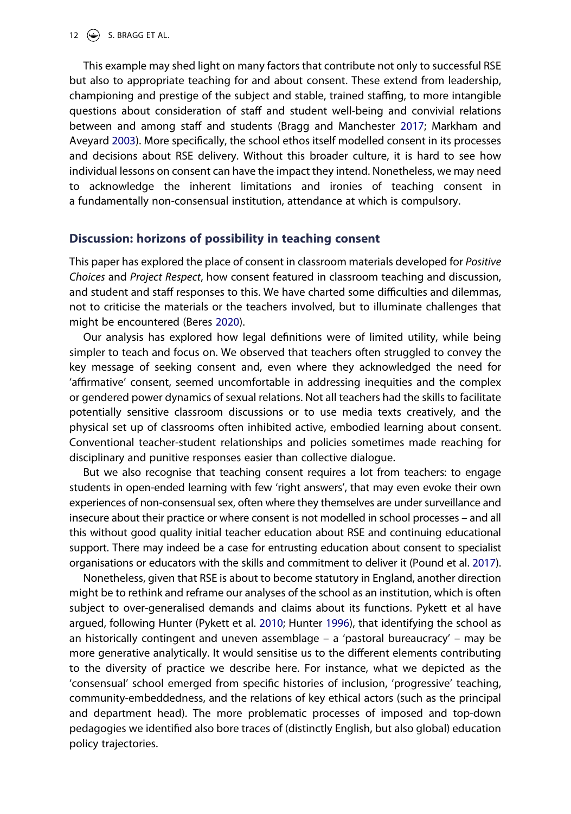<span id="page-11-3"></span><span id="page-11-1"></span>This example may shed light on many factors that contribute not only to successful RSE but also to appropriate teaching for and about consent. These extend from leadership, championing and prestige of the subject and stable, trained staffing, to more intangible questions about consideration of staff and student well-being and convivial relations between and among staff and students (Bragg and Manchester [2017;](#page-13-16) Markham and Aveyard [2003](#page-14-17)). More specifically, the school ethos itself modelled consent in its processes and decisions about RSE delivery. Without this broader culture, it is hard to see how individual lessons on consent can have the impact they intend. Nonetheless, we may need to acknowledge the inherent limitations and ironies of teaching consent in a fundamentally non-consensual institution, attendance at which is compulsory.

## **Discussion: horizons of possibility in teaching consent**

This paper has explored the place of consent in classroom materials developed for *Positive Choices* and *Project Respect*, how consent featured in classroom teaching and discussion, and student and staff responses to this. We have charted some difficulties and dilemmas, not to criticise the materials or the teachers involved, but to illuminate challenges that might be encountered (Beres [2020\)](#page-13-17).

<span id="page-11-0"></span>Our analysis has explored how legal definitions were of limited utility, while being simpler to teach and focus on. We observed that teachers often struggled to convey the key message of seeking consent and, even where they acknowledged the need for 'affirmative' consent, seemed uncomfortable in addressing inequities and the complex or gendered power dynamics of sexual relations. Not all teachers had the skills to facilitate potentially sensitive classroom discussions or to use media texts creatively, and the physical set up of classrooms often inhibited active, embodied learning about consent. Conventional teacher-student relationships and policies sometimes made reaching for disciplinary and punitive responses easier than collective dialogue.

But we also recognise that teaching consent requires a lot from teachers: to engage students in open-ended learning with few 'right answers', that may even evoke their own experiences of non-consensual sex, often where they themselves are under surveillance and insecure about their practice or where consent is not modelled in school processes – and all this without good quality initial teacher education about RSE and continuing educational support. There may indeed be a case for entrusting education about consent to specialist organisations or educators with the skills and commitment to deliver it (Pound et al. [2017](#page-14-18)).

<span id="page-11-4"></span><span id="page-11-2"></span>Nonetheless, given that RSE is about to become statutory in England, another direction might be to rethink and reframe our analyses of the school as an institution, which is often subject to over-generalised demands and claims about its functions. Pykett et al have argued, following Hunter (Pykett et al. [2010;](#page-14-19) Hunter [1996\)](#page-14-20), that identifying the school as an historically contingent and uneven assemblage – a 'pastoral bureaucracy' – may be more generative analytically. It would sensitise us to the different elements contributing to the diversity of practice we describe here. For instance, what we depicted as the 'consensual' school emerged from specific histories of inclusion, 'progressive' teaching, community-embeddedness, and the relations of key ethical actors (such as the principal and department head). The more problematic processes of imposed and top-down pedagogies we identified also bore traces of (distinctly English, but also global) education policy trajectories.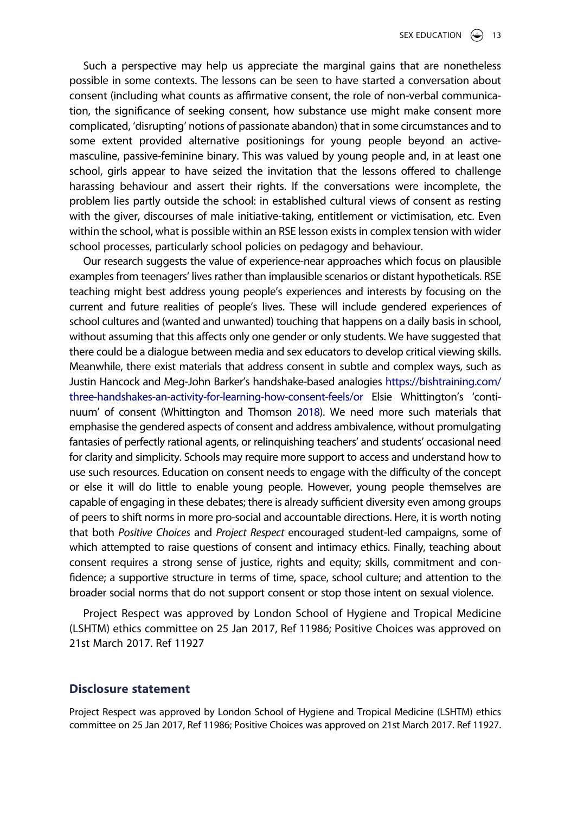Such a perspective may help us appreciate the marginal gains that are nonetheless possible in some contexts. The lessons can be seen to have started a conversation about consent (including what counts as affirmative consent, the role of non-verbal communication, the significance of seeking consent, how substance use might make consent more complicated, 'disrupting' notions of passionate abandon) that in some circumstances and to some extent provided alternative positionings for young people beyond an activemasculine, passive-feminine binary. This was valued by young people and, in at least one school, girls appear to have seized the invitation that the lessons offered to challenge harassing behaviour and assert their rights. If the conversations were incomplete, the problem lies partly outside the school: in established cultural views of consent as resting with the giver, discourses of male initiative-taking, entitlement or victimisation, etc. Even within the school, what is possible within an RSE lesson exists in complex tension with wider school processes, particularly school policies on pedagogy and behaviour.

Our research suggests the value of experience-near approaches which focus on plausible examples from teenagers' lives rather than implausible scenarios or distant hypotheticals. RSE teaching might best address young people's experiences and interests by focusing on the current and future realities of people's lives. These will include gendered experiences of school cultures and (wanted and unwanted) touching that happens on a daily basis in school, without assuming that this affects only one gender or only students. We have suggested that there could be a dialogue between media and sex educators to develop critical viewing skills. Meanwhile, there exist materials that address consent in subtle and complex ways, such as Justin Hancock and Meg-John Barker's handshake-based analogies [https://bishtraining.com/](https://bishtraining.com/three-handshakes-an-activity-for-learning-how-consent-feels/or)  [three-handshakes-an-activity-for-learning-how-consent-feels/or](https://bishtraining.com/three-handshakes-an-activity-for-learning-how-consent-feels/or) Elsie Whittington's 'continuum' of consent (Whittington and Thomson [2018](#page-14-0)). We need more such materials that emphasise the gendered aspects of consent and address ambivalence, without promulgating fantasies of perfectly rational agents, or relinquishing teachers' and students' occasional need for clarity and simplicity. Schools may require more support to access and understand how to use such resources. Education on consent needs to engage with the difficulty of the concept or else it will do little to enable young people. However, young people themselves are capable of engaging in these debates; there is already sufficient diversity even among groups of peers to shift norms in more pro-social and accountable directions. Here, it is worth noting that both *Positive Choices* and *Project Respect* encouraged student-led campaigns, some of which attempted to raise questions of consent and intimacy ethics. Finally, teaching about consent requires a strong sense of justice, rights and equity; skills, commitment and confidence; a supportive structure in terms of time, space, school culture; and attention to the broader social norms that do not support consent or stop those intent on sexual violence.

Project Respect was approved by London School of Hygiene and Tropical Medicine (LSHTM) ethics committee on 25 Jan 2017, Ref 11986; Positive Choices was approved on 21st March 2017. Ref 11927

### **Disclosure statement**

Project Respect was approved by London School of Hygiene and Tropical Medicine (LSHTM) ethics committee on 25 Jan 2017, Ref 11986; Positive Choices was approved on 21st March 2017. Ref 11927.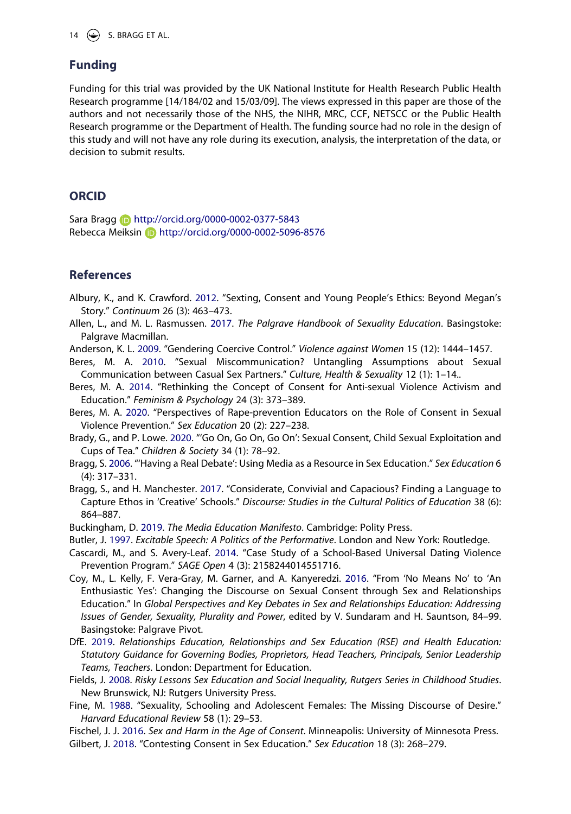14  $\circledcirc$  S. BRAGG ET AL.

#### **Funding**

Funding for this trial was provided by the UK National Institute for Health Research Public Health Research programme [14/184/02 and 15/03/09]. The views expressed in this paper are those of the authors and not necessarily those of the NHS, the NIHR, MRC, CCF, NETSCC or the Public Health Research programme or the Department of Health. The funding source had no role in the design of this study and will not have any role during its execution, analysis, the interpretation of the data, or decision to submit results.

#### **ORCID**

Sara Bragg http://orcid.org/0000-0002-0377-5843 Rebecca Meiksin http://orcid.org/0000-0002-5096-8576

### **References**

<span id="page-13-6"></span>Albury, K., and K. Crawford. [2012](#page-1-0). "Sexting, Consent and Young People's Ethics: Beyond Megan's Story." *Continuum* 26 (3): 463–473.

- <span id="page-13-10"></span>Allen, L., and M. L. Rasmussen. [2017](#page-3-0). *The Palgrave Handbook of Sexuality Education*. Basingstoke: Palgrave Macmillan.
- <span id="page-13-9"></span>Anderson, K. L. [2009](#page-1-1). "Gendering Coercive Control." *Violence against Women* 15 (12): 1444–1457.
- <span id="page-13-5"></span>Beres, M. A. [2010](#page-1-2). "Sexual Miscommunication? Untangling Assumptions about Sexual Communication between Casual Sex Partners." *Culture, Health & Sexuality* 12 (1): 1–14..
- <span id="page-13-4"></span>Beres, M. A. [2014](#page-1-3). "Rethinking the Concept of Consent for Anti-sexual Violence Activism and Education." *Feminism & Psychology* 24 (3): 373–389.
- <span id="page-13-17"></span>Beres, M. A. [2020](#page-11-0). "Perspectives of Rape-prevention Educators on the Role of Consent in Sexual Violence Prevention." *Sex Education* 20 (2): 227–238.
- <span id="page-13-11"></span>Brady, G., and P. Lowe. [2020](#page-7-0). "'Go On, Go On, Go On': Sexual Consent, Child Sexual Exploitation and Cups of Tea." *Children & Society* 34 (1): 78–92.
- <span id="page-13-12"></span>Bragg, S. [2006.](#page-8-0) "'Having a Real Debate': Using Media as a Resource in Sex Education." *Sex Education* 6 (4): 317–331.
- <span id="page-13-16"></span>Bragg, S., and H. Manchester. [2017](#page-11-1). "Considerate, Convivial and Capacious? Finding a Language to Capture Ethos in 'Creative' Schools." *Discourse: Studies in the Cultural Politics of Education* 38 (6): 864–887.
- <span id="page-13-13"></span>Buckingham, D. [2019](#page-8-1). *The Media Education Manifesto*. Cambridge: Polity Press.
- <span id="page-13-14"></span>Butler, J. [1997.](#page-8-2) *Excitable Speech: A Politics of the Performative*. London and New York: Routledge.
- <span id="page-13-15"></span>Cascardi, M., and S. Avery-Leaf. [2014](#page-10-0). "Case Study of a School-Based Universal Dating Violence Prevention Program." *SAGE Open* 4 (3): 2158244014551716.
- <span id="page-13-2"></span>Coy, M., L. Kelly, F. Vera-Gray, M. Garner, and A. Kanyeredzi. [2016.](#page-1-4) "From 'No Means No' to 'An Enthusiastic Yes': Changing the Discourse on Sexual Consent through Sex and Relationships Education." In *Global Perspectives and Key Debates in Sex and Relationships Education: Addressing Issues of Gender, Sexuality, Plurality and Power*, edited by V. Sundaram and H. Sauntson, 84–99. Basingstoke: Palgrave Pivot.
- <span id="page-13-3"></span>DfE. [2019](#page-1-5). *Relationships Education, Relationships and Sex Education (RSE) and Health Education: Statutory Guidance for Governing Bodies, Proprietors, Head Teachers, Principals, Senior Leadership Teams, Teachers*. London: Department for Education.
- <span id="page-13-8"></span>Fields, J. [2008](#page-1-6). *Risky Lessons Sex Education and Social Inequality, Rutgers Series in Childhood Studies*. New Brunswick, NJ: Rutgers University Press.
- <span id="page-13-1"></span>Fine, M. [1988.](#page-0-2) "Sexuality, Schooling and Adolescent Females: The Missing Discourse of Desire." *Harvard Educational Review* 58 (1): 29–53.
- <span id="page-13-7"></span>Fischel, J. J. [2016.](#page-1-0) *Sex and Harm in the Age of Consent*. Minneapolis: University of Minnesota Press.
- <span id="page-13-0"></span>Gilbert, J. [2018](#page-0-3). "Contesting Consent in Sex Education." *Sex Education* 18 (3): 268–279.